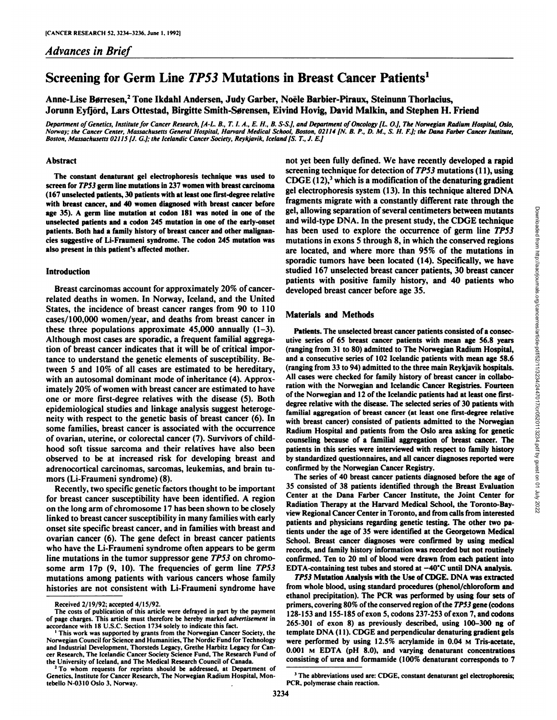# Screening for Germ Line TP53 Mutations in Breast Cancer Patients1

Anne-Lise Børresen,<sup>2</sup> Tone Ikdahl Andersen, Judy Garber, Noële Barbier-Piraux, Steinunn Thorlacius, Jorunn Eyfjörd, Lars Ottestad, Birgitte Smith-Sørensen, Eivind Hovig, David Malkin, and Stephen H. Friend

Department of Genetics, Institute for Cancer Research, [A-L. B., T. I. A., E. H., B. S-S.], and Department of Oncology [L. O.], The Norwegian Radium Hospital, Oslo, Norway; the Cancer Center, Massachusetts General Hospital, Harvard Medical School, Boston, 02114 [N. B. P., D. M., S. H. F.]; the Dana Farber Cancer Institute, *Boston, Massachusetts 0211S fJ. G.J; the Icelandic Cancer Society, Reykjavik, Iceland fS. T., J. E.J*

## Abstract

screen for TP53 germ line mutations in 237 women with breast carcinoma (167 unselected patients, 30 patients with at least one first-degree relative with breast cancer, and 40 women diagnosed with breast cancer before age 35). A germ line mutation at codon 181 was noted in one of the unselected patients and a codon 245 mutation in one of the early-onset patients. Both had a family history of breast cancer and other malignan cies suggestive of Li-Fraumeni syndrome. The codon <sup>245</sup> mutation was also present in this patient's affected mother.

#### Introduction

Breast carcinomas account for approximately 20% of cancerrelated deaths in women. In Norway, Iceland, and the United States, the incidence of breast cancer ranges from 90 to 110 cases/100,000 women/year, and deaths from breast cancer in these three populations approximate 45,000 annually (1-3). Although most cases are sporadic, a frequent familial aggrega tion of breast cancer indicates that it will be of critical impor tance to understand the genetic elements of susceptibility. Be tween 5 and 10% of all cases are estimated to be hereditary, with an autosomal dominant mode of inheritance (4). Approx imately 20% of women with breast cancer are estimated to have one or more first-degree relatives with the disease (5). Both epidemiológica! studies and linkage analysis suggest heteroge neity with respect to the genetic basis of breast cancer (6). In some families, breast cancer is associated with the occurrence of ovarian, uterine, or colorectal cancer (7). Survivors of child hood soft tissue sarcoma and their relatives have also been observed to be at increased risk for developing breast and adrenocortical carcinomas, sarcomas, leukemias, and brain tu mors (Li-Fraumeni syndrome) (8).

Recently, two specific genetic factors thought to be important for breast cancer susceptibility have been identified. A region on the long arm of chromosome 17 has been shown to be closely linked to breast cancer susceptibility in many families with early onset site specific breast cancer, and in families with breast and ovarian cancer (6). The gene defect in breast cancer patients who have the Li-Fraumeni syndrome often appears to be germ line mutations in the tumor suppressor gene TP53 on chromosome arm 17p (9,10). The frequencies of germ line TP53 mutations among patients with various cancers whose family histories are not consistent with Li-Fraumeni syndrome have

The constant denaturant gel electrophoresis technique was used to  $CDGE(12)$ ,<sup>3</sup> which is a modification of the denaturing gradient not yet been fully defined. We have recently developed a rapid screening technique for detection of  $TP53$  mutations (11), using gel electrophoresis system (13). In this technique altered DNA gel, allowing separation of several centimeters between mutants and wild-type DNA. In the present study, the CDGE technique has been used to explore the occurrence of germ line TP53 mutations in exons 5 through 8, in which the conserved regions are located, and where more than 95% of the mutations in sporadic tumors have been located (14). Specifically, we have studied 167 unselected breast cancer patients, 30 breast cancer patients with positive family history, and 40 patients who developed breast cancer before age 35.

# Materials and Methods

fragments migrate with a constantly different rate through the<br>
gel, allowing separation of several centimeters between mutants<br>
and wild-type DNA. In the present study, the CDGE technique<br>
has been used to explore the oc Patients. The unselected breast cancer patients consisted of a consec utive series of 65 breast cancer patients with mean age 56.8 years (ranging from 31 to 80) admitted to The Norwegian Radium Hospital, and a consecutive series of 102 Icelandic patients with mean age 58.6 (ranging from 33 to 94) admitted to the three main Reykjavik hospitals. All cases were checked for family history of breast cancer in collabo ration with the Norwegian and Icelandic Cancer Registries. Fourteen of the Norwegian and 12 of the Icelandic patients had at least one firstdegree relative with the disease. The selected series of 30 patients with familial aggregation of breast cancer (at least one first-degree relative with breast cancer) consisted of patients admitted to the Norwegian Radium Hospital and patients from the Oslo area asking for genetic counseling because of a familial aggregation of breast cancer. The patients in this series were interviewed with respect to family history by standardized questionnaires, and all cancer diagnoses reported were confirmed by the Norwegian Cancer Registry.

The series of 40 breast cancer patients diagnosed before the age of 35 consisted of 38 patients identified through the Breast Evaluation Center at the Dana Farber Cancer Institute, the Joint Center for Radiation Therapy at the Harvard Medical School, the Toronto-Bayview Regional Cancer Center in Toronto, and from calls from interested patients and physicians regarding genetic testing. The other two pa tients under the age of 35 were identified at the Georgetown Medical School. Breast cancer diagnoses were confirmed by using medical records, and family history information was recorded but not routinely confirmed. Ten to 20 ml of blood were drawn from each patient into EDTA-containing test tubes and stored at  $-40^{\circ}$ C until DNA analysis.

*TP53 Mutation Analysis with the Use of CDGE. DNA was extracted* from whole blood, using standard procedures (phenol/chloroform and ethanol precipitation). The PCR was performed by using four sets of primers, covering 80% of the conserved region of the TP53 gene (codons 128-153 and 155-185 of exon 5, codons 237-253 ofexon 7, and codons 265-301 of exon 8) as previously described, using 100-300 ng of template DNA (II). CDGE and perpendicular denaturing gradient gels were performed by using 12.5% acrylamide in 0.04 M Tris-acétate, 0.001 M EDTA (pH 8.0), and varying dénaturant concentrations consisting of urea and formamide (100% denaturant corresponds to 7

Received 2/19/92; accepted 4/15/92.

The costs of publication of this article were defrayed in part by the payment of page charges. This article must therefore be hereby marked advertisement in accordance with 18 U.S.C. Section 1734 solely to indicate this fact. '

This work was supported by grants from the Norwegian Cancer Society, the Norwegian Council for Science and Humanities, The Nordic Fund for Technology and Industrial Development, Thorsteds Legacy. Grethe Harbitz Legacy for Can cer Research, The Icelandic Cancer Society Science Fund, The Research Fund of the University of Iceland, and The Medical Research Council of Canada.

<sup>&</sup>lt;sup>2</sup> To whom requests for reprints should be addressed, at Department of Genetics. Institute for Cancer Research, The Norwegian Radium Hospital, Montebello N-0310 Oslo 3. Norway.

<sup>&</sup>lt;sup>3</sup> The abbreviations used are: CDGE, constant denaturant gel electrophoresis; PCR, polymerase chain reaction.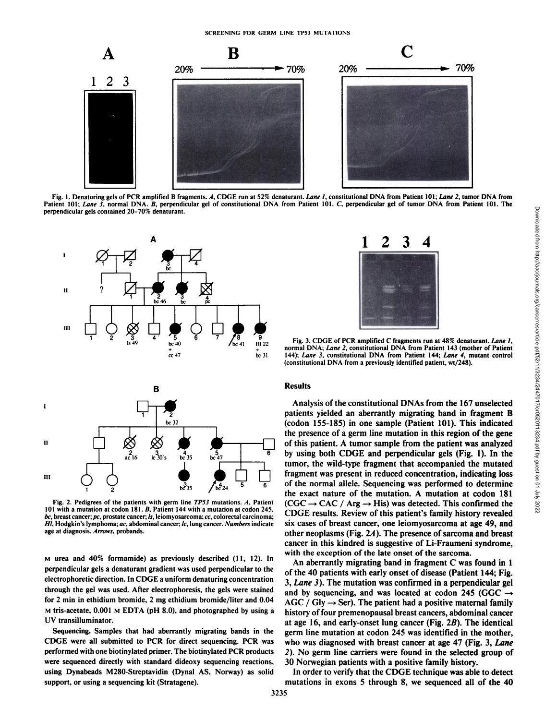

Fig. 1. Denaturing gels of PCR amplified B fragments. A, CDGE run at 52% denaturant. Lane 1, constitutional DNA from Patient 101; Lane 2, tumor DNA from perpendicular gels contained 20-70% dénaturant.



Fig. 2. Pedigrees of the patients with germ line TP53 mutations. A, Patient 101 with a mutation at codon 181. B. Patient 144 with a mutation at codon 245. bc, breast cancer; pc, prostate cancer; ls, leiomyosarcoma; cc, colorectal carcinoma;<br>Hl, Hodgkin's lymphoma; ac, abdominal cancer; lc, lung cancer. *Numbers* indicate age at diagnosis. Arrows, probands.

M urea and 40% formamide) as previously described (11, 12). In perpendicular gels a denaturant gradient was used perpendicular to the electrophoretic direction. In CDGE a uniform denaturing concentration through the gel was used. After electrophoresis, the gels were stained for 2 min in ethidium bromide, 2 mg ethidium bromide/liter and 0.04 M tris-acetate, 0.001 M EDTA (pH 8.0), and photographed by using a UV transilluminator.

Sequencing. Samples that had aberrantly migrating bands in the CDGE were all submitted to PCR for direct sequencing. PCR was performed with one biotinylated primer. The biotinylated PCR products were sequenced directly with standard dideoxy sequencing reactions, using Dynabeads M280-Streptavidin (Dynal AS, Norway) as solid support, or using a sequencing kit(Stratagene).



Fig. 3. CDGE of PCR amplified C fragments run at 48% denaturant. Lane 1, normal DNA; Lane 2, constitutional DNA from Patient 143 (mother of Patient 144); Lane 3, constitutional DNA from Patient 144; Lane 4, mutant control (constitutional DNA from a previously identified patient, wt/248).

#### **Results**

Analysis of the constitutional DNAs from the 167 unselected patients yielded an aberrantly migrating band in fragment B (codon 155-185) in one sample (Patient 101). This indicated the presence of a germ line mutation in this region of the gene of this patient. A tumor sample from the patient was analyzed by using both CDGE and perpendicular gels (Fig. 1). In the tumor, the wild-type fragment that accompanied the mutated fragment was present in reduced concentration, indicating loss of the normal allele. Sequencing was performed to determine the exact nature of the mutation. A mutation at codon 181  $(CGC \rightarrow CAC / Arg \rightarrow His)$  was detected. This confirmed the CDGE results. Review of this patient's family history revealed six cases of breast cancer, one leiomyosarcoma at age 49, and other neoplasms (Fig. 2A). The presence of sarcoma and breast cancer in this kindred is suggestive of Li-Fraumeni syndrome, with the exception of the late onset of the sarcoma.

An aberrantly migrating band in fragment C was found in 1 of the 40 patients with early onset of disease (Patient 144; Fig. 3, Lane 3). The mutation was confirmed in a perpendicular gel and by sequencing, and was located at codon 245 (GGC  $\rightarrow$  $AGC / Gly \rightarrow Ser$ ). The patient had a positive maternal family history of four premenopausal breast cancers, abdominal cancer at age 16, and early-onset lung cancer (Fig. 2B). The identical germ line mutation at codon 245 was identified in the mother, who was diagnosed with breast cancer at age 47 (Fig. 3, *Lane 2). No germ linecarriers were found in the selected group of* 30 Norwegian patients with a positive family history.

Downloaded from http://aacrjournals.org/cancerres/article-pdf/52/11/3234/2447017/cr0520113234.pdf by guest on 01 July 2022

In order to verify that the CDGE technique was able to detect mutations in exons 5 through 8, we sequenced all of the 40